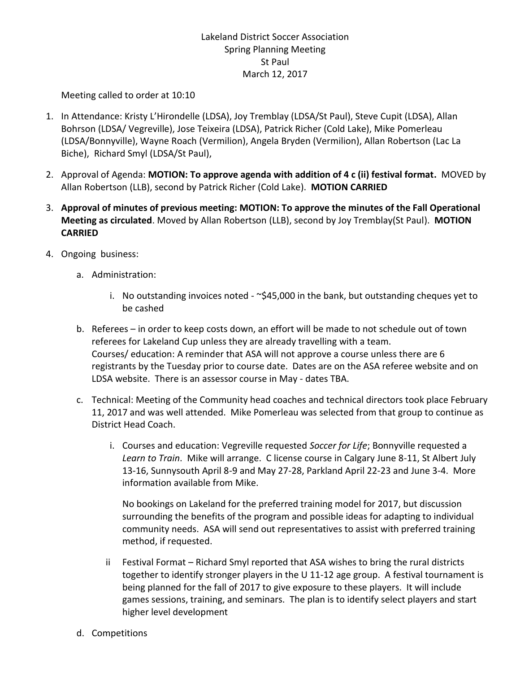## Lakeland District Soccer Association Spring Planning Meeting St Paul March 12, 2017

Meeting called to order at 10:10

- 1. In Attendance: Kristy L'Hirondelle (LDSA), Joy Tremblay (LDSA/St Paul), Steve Cupit (LDSA), Allan Bohrson (LDSA/ Vegreville), Jose Teixeira (LDSA), Patrick Richer (Cold Lake), Mike Pomerleau (LDSA/Bonnyville), Wayne Roach (Vermilion), Angela Bryden (Vermilion), Allan Robertson (Lac La Biche), Richard Smyl (LDSA/St Paul),
- 2. Approval of Agenda: **MOTION: To approve agenda with addition of 4 c (ii) festival format.** MOVED by Allan Robertson (LLB), second by Patrick Richer (Cold Lake). **MOTION CARRIED**
- 3. **Approval of minutes of previous meeting: MOTION: To approve the minutes of the Fall Operational Meeting as circulated**. Moved by Allan Robertson (LLB), second by Joy Tremblay(St Paul). **MOTION CARRIED**
- 4. Ongoing business:
	- a. Administration:
		- i. No outstanding invoices noted  $-\infty$ \$45,000 in the bank, but outstanding cheques yet to be cashed
	- b. Referees in order to keep costs down, an effort will be made to not schedule out of town referees for Lakeland Cup unless they are already travelling with a team. Courses/ education: A reminder that ASA will not approve a course unless there are 6 registrants by the Tuesday prior to course date. Dates are on the ASA referee website and on LDSA website. There is an assessor course in May - dates TBA.
	- c. Technical: Meeting of the Community head coaches and technical directors took place February 11, 2017 and was well attended. Mike Pomerleau was selected from that group to continue as District Head Coach.
		- i. Courses and education: Vegreville requested *Soccer for Life*; Bonnyville requested a *Learn to Train*. Mike will arrange. C license course in Calgary June 8-11, St Albert July 13-16, Sunnysouth April 8-9 and May 27-28, Parkland April 22-23 and June 3-4. More information available from Mike.

No bookings on Lakeland for the preferred training model for 2017, but discussion surrounding the benefits of the program and possible ideas for adapting to individual community needs. ASA will send out representatives to assist with preferred training method, if requested.

- ii Festival Format Richard Smyl reported that ASA wishes to bring the rural districts together to identify stronger players in the U 11-12 age group. A festival tournament is being planned for the fall of 2017 to give exposure to these players. It will include games sessions, training, and seminars. The plan is to identify select players and start higher level development
- d. Competitions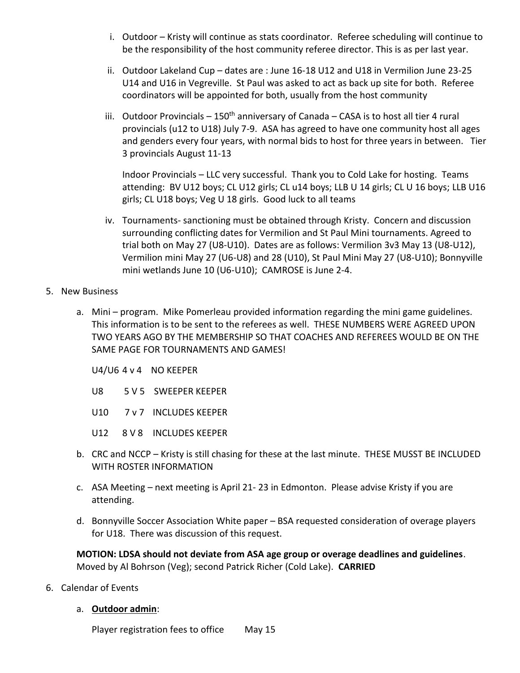- i. Outdoor Kristy will continue as stats coordinator. Referee scheduling will continue to be the responsibility of the host community referee director. This is as per last year.
- ii. Outdoor Lakeland Cup dates are : June 16-18 U12 and U18 in Vermilion June 23-25 U14 and U16 in Vegreville. St Paul was asked to act as back up site for both. Referee coordinators will be appointed for both, usually from the host community
- iii. Outdoor Provincials  $-150<sup>th</sup>$  anniversary of Canada CASA is to host all tier 4 rural provincials (u12 to U18) July 7-9. ASA has agreed to have one community host all ages and genders every four years, with normal bids to host for three years in between. Tier 3 provincials August 11-13

Indoor Provincials – LLC very successful. Thank you to Cold Lake for hosting. Teams attending: BV U12 boys; CL U12 girls; CL u14 boys; LLB U 14 girls; CL U 16 boys; LLB U16 girls; CL U18 boys; Veg U 18 girls. Good luck to all teams

- iv. Tournaments- sanctioning must be obtained through Kristy. Concern and discussion surrounding conflicting dates for Vermilion and St Paul Mini tournaments. Agreed to trial both on May 27 (U8-U10). Dates are as follows: Vermilion 3v3 May 13 (U8-U12), Vermilion mini May 27 (U6-U8) and 28 (U10), St Paul Mini May 27 (U8-U10); Bonnyville mini wetlands June 10 (U6-U10); CAMROSE is June 2-4.
- 5. New Business
	- a. Mini program. Mike Pomerleau provided information regarding the mini game guidelines. This information is to be sent to the referees as well. THESE NUMBERS WERE AGREED UPON TWO YEARS AGO BY THE MEMBERSHIP SO THAT COACHES AND REFEREES WOULD BE ON THE SAME PAGE FOR TOURNAMENTS AND GAMES!
		- U4/U6 4 v 4 NO KEEPER
		- U8 5 V 5 SWEEPER KEEPER
		- U10 7 v 7 INCLUDES KEEPER
		- U12 8 V 8 INCLUDES KEEPER
	- b. CRC and NCCP Kristy is still chasing for these at the last minute. THESE MUSST BE INCLUDED WITH ROSTER INFORMATION
	- c. ASA Meeting next meeting is April 21- 23 in Edmonton. Please advise Kristy if you are attending.
	- d. Bonnyville Soccer Association White paper BSA requested consideration of overage players for U18. There was discussion of this request.

**MOTION: LDSA should not deviate from ASA age group or overage deadlines and guidelines**. Moved by Al Bohrson (Veg); second Patrick Richer (Cold Lake). **CARRIED**

- 6. Calendar of Events
	- a. **Outdoor admin**:

Player registration fees to office May 15